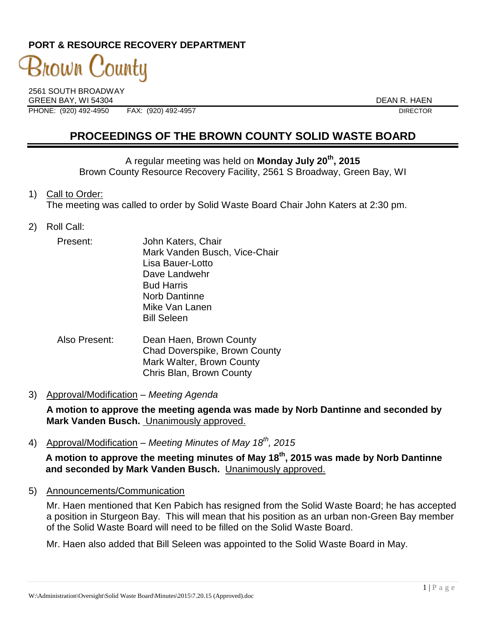### **PORT & RESOURCE RECOVERY DEPARTMENT**

# 3nown County

2561 SOUTH BROADWAY GREEN BAY, WI 54304 DEAN R. HAEN PHONE: (920) 492-4950 FAX: (920) 492-4957 DIRECTOR

## **PROCEEDINGS OF THE BROWN COUNTY SOLID WASTE BOARD**

A regular meeting was held on **Monday July 20th, 2015** Brown County Resource Recovery Facility, 2561 S Broadway, Green Bay, WI

- 1) Call to Order: The meeting was called to order by Solid Waste Board Chair John Katers at 2:30 pm.
- 2) Roll Call:
	- Present: John Katers, Chair Mark Vanden Busch, Vice-Chair Lisa Bauer-Lotto Dave Landwehr Bud Harris Norb Dantinne Mike Van Lanen Bill Seleen
	- Also Present: Dean Haen, Brown County Chad Doverspike, Brown County Mark Walter, Brown County Chris Blan, Brown County
- 3) Approval/Modification *Meeting Agenda*

**A motion to approve the meeting agenda was made by Norb Dantinne and seconded by Mark Vanden Busch.** Unanimously approved.

4) Approval/Modification – *Meeting Minutes of May 18th, 2015*

**A motion to approve the meeting minutes of May 18th, 2015 was made by Norb Dantinne and seconded by Mark Vanden Busch.** Unanimously approved.

5) Announcements/Communication

Mr. Haen mentioned that Ken Pabich has resigned from the Solid Waste Board; he has accepted a position in Sturgeon Bay. This will mean that his position as an urban non-Green Bay member of the Solid Waste Board will need to be filled on the Solid Waste Board.

Mr. Haen also added that Bill Seleen was appointed to the Solid Waste Board in May.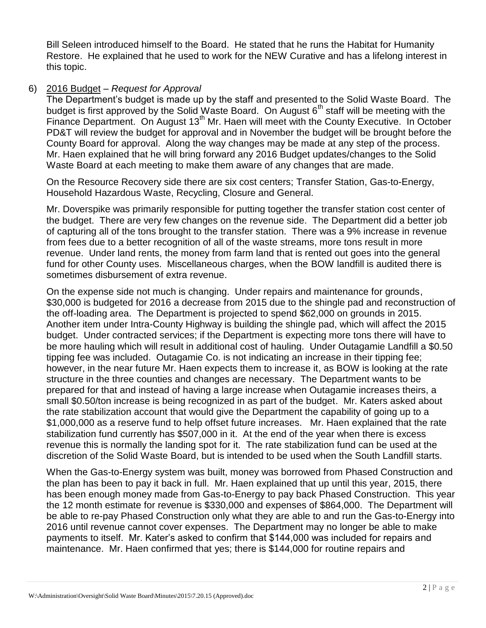Bill Seleen introduced himself to the Board. He stated that he runs the Habitat for Humanity Restore. He explained that he used to work for the NEW Curative and has a lifelong interest in this topic.

#### 6) 2016 Budget – *Request for Approval*

The Department's budget is made up by the staff and presented to the Solid Waste Board. The budget is first approved by the Solid Waste Board. On August  $6<sup>th</sup>$  staff will be meeting with the Finance Department. On August 13<sup>th</sup> Mr. Haen will meet with the County Executive. In October PD&T will review the budget for approval and in November the budget will be brought before the County Board for approval. Along the way changes may be made at any step of the process. Mr. Haen explained that he will bring forward any 2016 Budget updates/changes to the Solid Waste Board at each meeting to make them aware of any changes that are made.

On the Resource Recovery side there are six cost centers; Transfer Station, Gas-to-Energy, Household Hazardous Waste, Recycling, Closure and General.

Mr. Doverspike was primarily responsible for putting together the transfer station cost center of the budget. There are very few changes on the revenue side. The Department did a better job of capturing all of the tons brought to the transfer station. There was a 9% increase in revenue from fees due to a better recognition of all of the waste streams, more tons result in more revenue. Under land rents, the money from farm land that is rented out goes into the general fund for other County uses. Miscellaneous charges, when the BOW landfill is audited there is sometimes disbursement of extra revenue.

On the expense side not much is changing. Under repairs and maintenance for grounds, \$30,000 is budgeted for 2016 a decrease from 2015 due to the shingle pad and reconstruction of the off-loading area. The Department is projected to spend \$62,000 on grounds in 2015. Another item under Intra-County Highway is building the shingle pad, which will affect the 2015 budget. Under contracted services; if the Department is expecting more tons there will have to be more hauling which will result in additional cost of hauling. Under Outagamie Landfill a \$0.50 tipping fee was included. Outagamie Co. is not indicating an increase in their tipping fee; however, in the near future Mr. Haen expects them to increase it, as BOW is looking at the rate structure in the three counties and changes are necessary. The Department wants to be prepared for that and instead of having a large increase when Outagamie increases theirs, a small \$0.50/ton increase is being recognized in as part of the budget. Mr. Katers asked about the rate stabilization account that would give the Department the capability of going up to a \$1,000,000 as a reserve fund to help offset future increases. Mr. Haen explained that the rate stabilization fund currently has \$507,000 in it. At the end of the year when there is excess revenue this is normally the landing spot for it. The rate stabilization fund can be used at the discretion of the Solid Waste Board, but is intended to be used when the South Landfill starts.

When the Gas-to-Energy system was built, money was borrowed from Phased Construction and the plan has been to pay it back in full. Mr. Haen explained that up until this year, 2015, there has been enough money made from Gas-to-Energy to pay back Phased Construction. This year the 12 month estimate for revenue is \$330,000 and expenses of \$864,000. The Department will be able to re-pay Phased Construction only what they are able to and run the Gas-to-Energy into 2016 until revenue cannot cover expenses. The Department may no longer be able to make payments to itself. Mr. Kater's asked to confirm that \$144,000 was included for repairs and maintenance. Mr. Haen confirmed that yes; there is \$144,000 for routine repairs and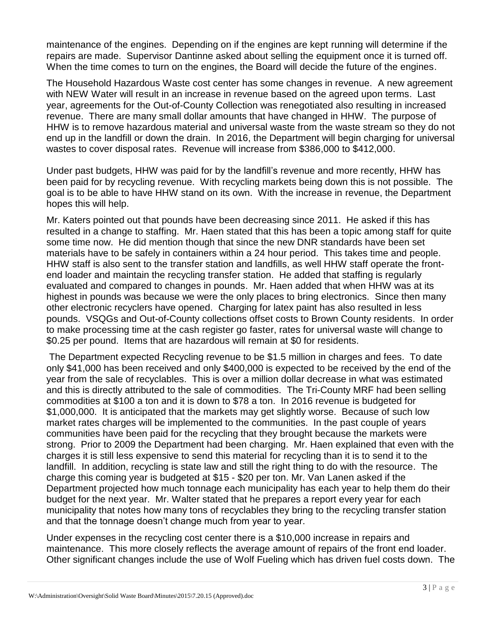maintenance of the engines. Depending on if the engines are kept running will determine if the repairs are made. Supervisor Dantinne asked about selling the equipment once it is turned off. When the time comes to turn on the engines, the Board will decide the future of the engines.

The Household Hazardous Waste cost center has some changes in revenue. A new agreement with NEW Water will result in an increase in revenue based on the agreed upon terms. Last year, agreements for the Out-of-County Collection was renegotiated also resulting in increased revenue. There are many small dollar amounts that have changed in HHW. The purpose of HHW is to remove hazardous material and universal waste from the waste stream so they do not end up in the landfill or down the drain. In 2016, the Department will begin charging for universal wastes to cover disposal rates. Revenue will increase from \$386,000 to \$412,000.

Under past budgets, HHW was paid for by the landfill's revenue and more recently, HHW has been paid for by recycling revenue. With recycling markets being down this is not possible. The goal is to be able to have HHW stand on its own. With the increase in revenue, the Department hopes this will help.

Mr. Katers pointed out that pounds have been decreasing since 2011. He asked if this has resulted in a change to staffing. Mr. Haen stated that this has been a topic among staff for quite some time now. He did mention though that since the new DNR standards have been set materials have to be safely in containers within a 24 hour period. This takes time and people. HHW staff is also sent to the transfer station and landfills, as well HHW staff operate the frontend loader and maintain the recycling transfer station. He added that staffing is regularly evaluated and compared to changes in pounds. Mr. Haen added that when HHW was at its highest in pounds was because we were the only places to bring electronics. Since then many other electronic recyclers have opened. Charging for latex paint has also resulted in less pounds. VSQGs and Out-of-County collections offset costs to Brown County residents. In order to make processing time at the cash register go faster, rates for universal waste will change to \$0.25 per pound. Items that are hazardous will remain at \$0 for residents.

The Department expected Recycling revenue to be \$1.5 million in charges and fees. To date only \$41,000 has been received and only \$400,000 is expected to be received by the end of the year from the sale of recyclables. This is over a million dollar decrease in what was estimated and this is directly attributed to the sale of commodities. The Tri-County MRF had been selling commodities at \$100 a ton and it is down to \$78 a ton. In 2016 revenue is budgeted for \$1,000,000. It is anticipated that the markets may get slightly worse. Because of such low market rates charges will be implemented to the communities. In the past couple of years communities have been paid for the recycling that they brought because the markets were strong. Prior to 2009 the Department had been charging. Mr. Haen explained that even with the charges it is still less expensive to send this material for recycling than it is to send it to the landfill. In addition, recycling is state law and still the right thing to do with the resource. The charge this coming year is budgeted at \$15 - \$20 per ton. Mr. Van Lanen asked if the Department projected how much tonnage each municipality has each year to help them do their budget for the next year. Mr. Walter stated that he prepares a report every year for each municipality that notes how many tons of recyclables they bring to the recycling transfer station and that the tonnage doesn't change much from year to year.

Under expenses in the recycling cost center there is a \$10,000 increase in repairs and maintenance. This more closely reflects the average amount of repairs of the front end loader. Other significant changes include the use of Wolf Fueling which has driven fuel costs down. The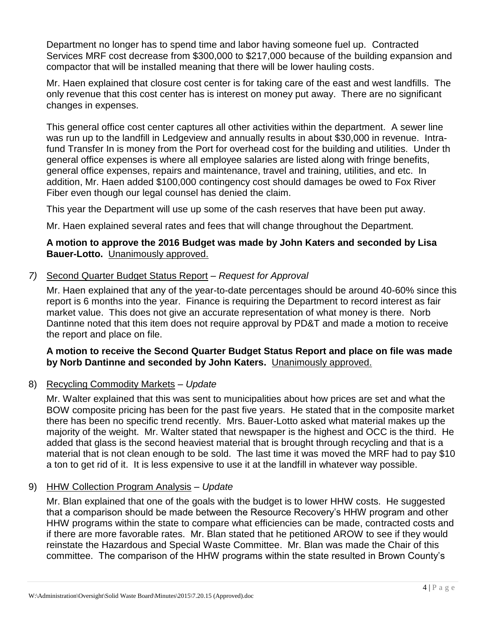Department no longer has to spend time and labor having someone fuel up. Contracted Services MRF cost decrease from \$300,000 to \$217,000 because of the building expansion and compactor that will be installed meaning that there will be lower hauling costs.

Mr. Haen explained that closure cost center is for taking care of the east and west landfills. The only revenue that this cost center has is interest on money put away. There are no significant changes in expenses.

This general office cost center captures all other activities within the department. A sewer line was run up to the landfill in Ledgeview and annually results in about \$30,000 in revenue. Intrafund Transfer In is money from the Port for overhead cost for the building and utilities. Under th general office expenses is where all employee salaries are listed along with fringe benefits, general office expenses, repairs and maintenance, travel and training, utilities, and etc. In addition, Mr. Haen added \$100,000 contingency cost should damages be owed to Fox River Fiber even though our legal counsel has denied the claim.

This year the Department will use up some of the cash reserves that have been put away.

Mr. Haen explained several rates and fees that will change throughout the Department.

#### **A motion to approve the 2016 Budget was made by John Katers and seconded by Lisa Bauer-Lotto.** Unanimously approved.

#### *7)* Second Quarter Budget Status Report – *Request for Approval*

Mr. Haen explained that any of the year-to-date percentages should be around 40-60% since this report is 6 months into the year. Finance is requiring the Department to record interest as fair market value. This does not give an accurate representation of what money is there. Norb Dantinne noted that this item does not require approval by PD&T and made a motion to receive the report and place on file.

#### **A motion to receive the Second Quarter Budget Status Report and place on file was made by Norb Dantinne and seconded by John Katers.** Unanimously approved.

#### 8) Recycling Commodity Markets *– Update*

Mr. Walter explained that this was sent to municipalities about how prices are set and what the BOW composite pricing has been for the past five years. He stated that in the composite market there has been no specific trend recently. Mrs. Bauer-Lotto asked what material makes up the majority of the weight. Mr. Walter stated that newspaper is the highest and OCC is the third. He added that glass is the second heaviest material that is brought through recycling and that is a material that is not clean enough to be sold. The last time it was moved the MRF had to pay \$10 a ton to get rid of it. It is less expensive to use it at the landfill in whatever way possible.

#### 9) HHW Collection Program Analysis – *Update*

Mr. Blan explained that one of the goals with the budget is to lower HHW costs. He suggested that a comparison should be made between the Resource Recovery's HHW program and other HHW programs within the state to compare what efficiencies can be made, contracted costs and if there are more favorable rates. Mr. Blan stated that he petitioned AROW to see if they would reinstate the Hazardous and Special Waste Committee. Mr. Blan was made the Chair of this committee. The comparison of the HHW programs within the state resulted in Brown County's